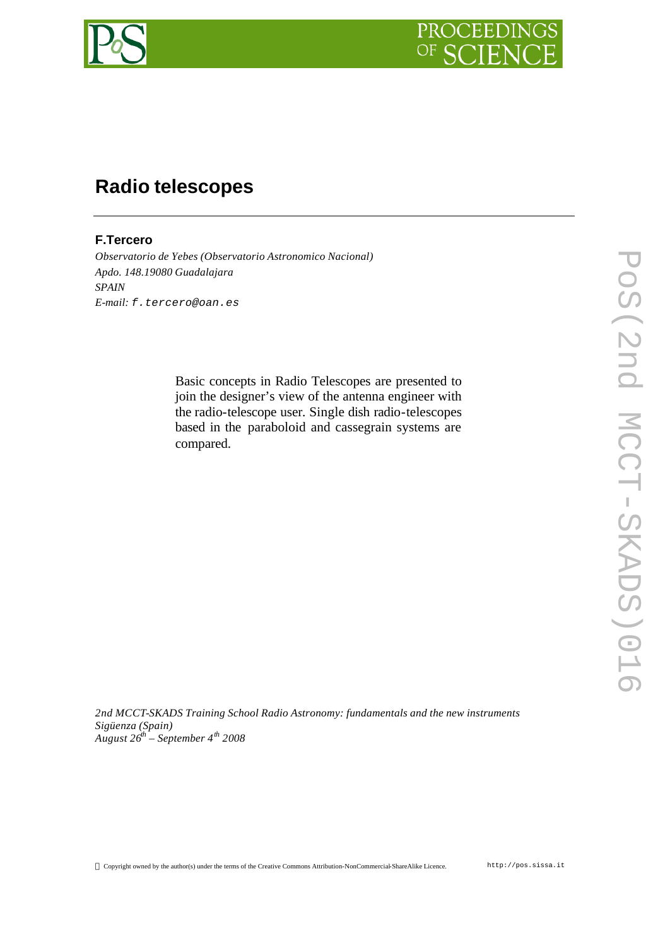



# **Radio telescopes**

# **F.Tercero**

*Observatorio de Yebes (Observatorio Astronomico Nacional) Apdo. 148.19080 Guadalajara SPAIN E-mail: f.tercero@oan.es*

> Basic concepts in Radio Telescopes are presented to join the designer's view of the antenna engineer with the radio-telescope user. Single dish radio-telescopes based in the paraboloid and cassegrain systems are compared.

*2nd MCCT-SKADS Training School Radio Astronomy: fundamentals and the new instruments Sigüenza (Spain) August 26th – September 4th 2008*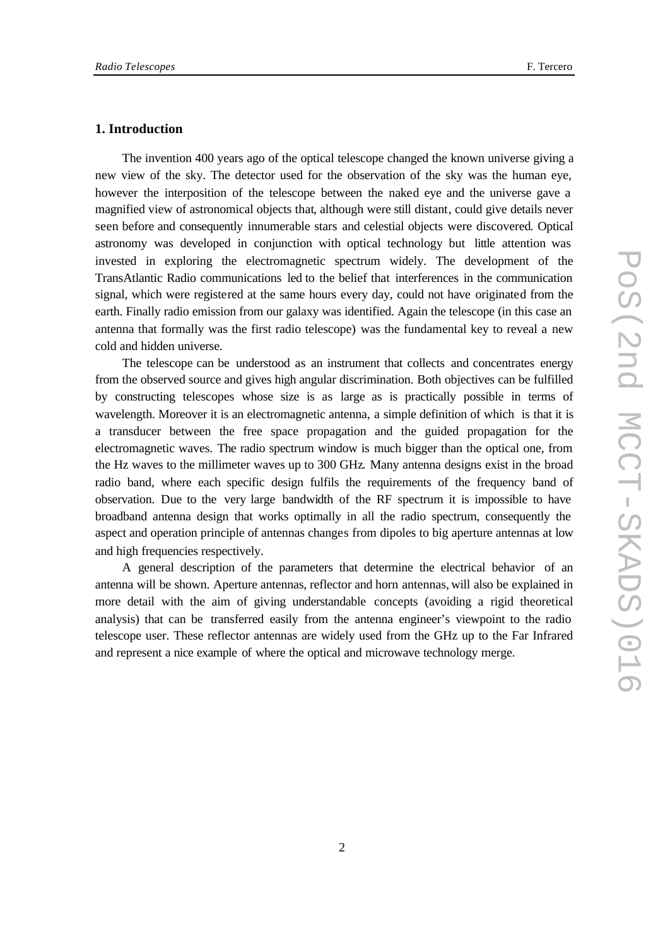## **1. Introduction**

The invention 400 years ago of the optical telescope changed the known universe giving a new view of the sky. The detector used for the observation of the sky was the human eye, however the interposition of the telescope between the naked eye and the universe gave a magnified view of astronomical objects that, although were still distant, could give details never seen before and consequently innumerable stars and celestial objects were discovered. Optical astronomy was developed in conjunction with optical technology but little attention was invested in exploring the electromagnetic spectrum widely. The development of the TransAtlantic Radio communications led to the belief that interferences in the communication signal, which were registered at the same hours every day, could not have originated from the earth. Finally radio emission from our galaxy was identified. Again the telescope (in this case an antenna that formally was the first radio telescope) was the fundamental key to reveal a new cold and hidden universe.

The telescope can be understood as an instrument that collects and concentrates energy from the observed source and gives high angular discrimination. Both objectives can be fulfilled by constructing telescopes whose size is as large as is practically possible in terms of wavelength. Moreover it is an electromagnetic antenna, a simple definition of which is that it is a transducer between the free space propagation and the guided propagation for the electromagnetic waves. The radio spectrum window is much bigger than the optical one, from the Hz waves to the millimeter waves up to 300 GHz. Many antenna designs exist in the broad radio band, where each specific design fulfils the requirements of the frequency band of observation. Due to the very large bandwidth of the RF spectrum it is impossible to have broadband antenna design that works optimally in all the radio spectrum, consequently the aspect and operation principle of antennas changes from dipoles to big aperture antennas at low and high frequencies respectively.

A general description of the parameters that determine the electrical behavior of an antenna will be shown. Aperture antennas, reflector and horn antennas, will also be explained in more detail with the aim of giving understandable concepts (avoiding a rigid theoretical analysis) that can be transferred easily from the antenna engineer's viewpoint to the radio telescope user. These reflector antennas are widely used from the GHz up to the Far Infrared and represent a nice example of where the optical and microwave technology merge.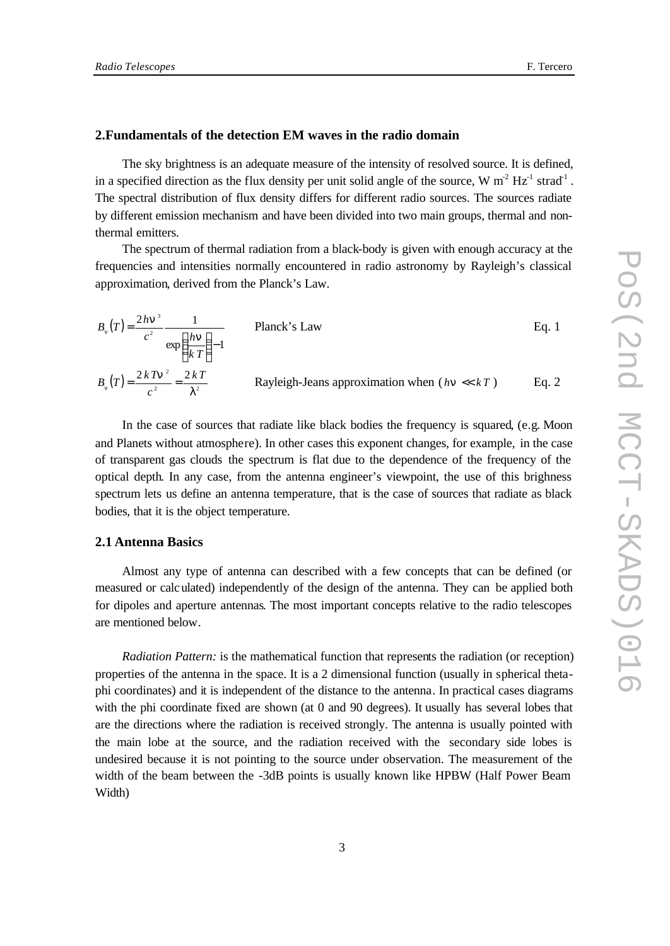## **2.Fundamentals of the detection EM waves in the radio domain**

The sky brightness is an adequate measure of the intensity of resolved source. It is defined, in a specified direction as the flux density per unit solid angle of the source, W  $m^2 Hz^1$  strad<sup>-1</sup>. The spectral distribution of flux density differs for different radio sources. The sources radiate by different emission mechanism and have been divided into two main groups, thermal and nonthermal emitters.

The spectrum of thermal radiation from a black-body is given with enough accuracy at the frequencies and intensities normally encountered in radio astronomy by Rayleigh's classical approximation, derived from the Planck's Law.

$$
B_n(T) = \frac{2h\mathbf{n}^3}{c^2} \frac{1}{\exp\left(\frac{h\mathbf{n}}{kT}\right) - 1}
$$
 Planck's Law Eq. 1  
\n
$$
B_n(T) = \frac{2kT\mathbf{n}^2}{c^2} = \frac{2kT}{I^2}
$$
 Rayleigh-Jeans approximation when  $(h\mathbf{n} \ll kT)$  Eq. 2

In the case of sources that radiate like black bodies the frequency is squared, (e.g. Moon and Planets without atmosphere). In other cases this exponent changes, for example, in the case of transparent gas clouds the spectrum is flat due to the dependence of the frequency of the optical depth. In any case, from the antenna engineer's viewpoint, the use of this brighness spectrum lets us define an antenna temperature, that is the case of sources that radiate as black bodies, that it is the object temperature.

#### **2.1 Antenna Basics**

Almost any type of antenna can described with a few concepts that can be defined (or measured or calculated) independently of the design of the antenna. They can be applied both for dipoles and aperture antennas. The most important concepts relative to the radio telescopes are mentioned below.

*Radiation Pattern:* is the mathematical function that represents the radiation (or reception) properties of the antenna in the space. It is a 2 dimensional function (usually in spherical thetaphi coordinates) and it is independent of the distance to the antenna. In practical cases diagrams with the phi coordinate fixed are shown (at 0 and 90 degrees). It usually has several lobes that are the directions where the radiation is received strongly. The antenna is usually pointed with the main lobe at the source, and the radiation received with the secondary side lobes is undesired because it is not pointing to the source under observation. The measurement of the width of the beam between the -3dB points is usually known like HPBW (Half Power Beam Width)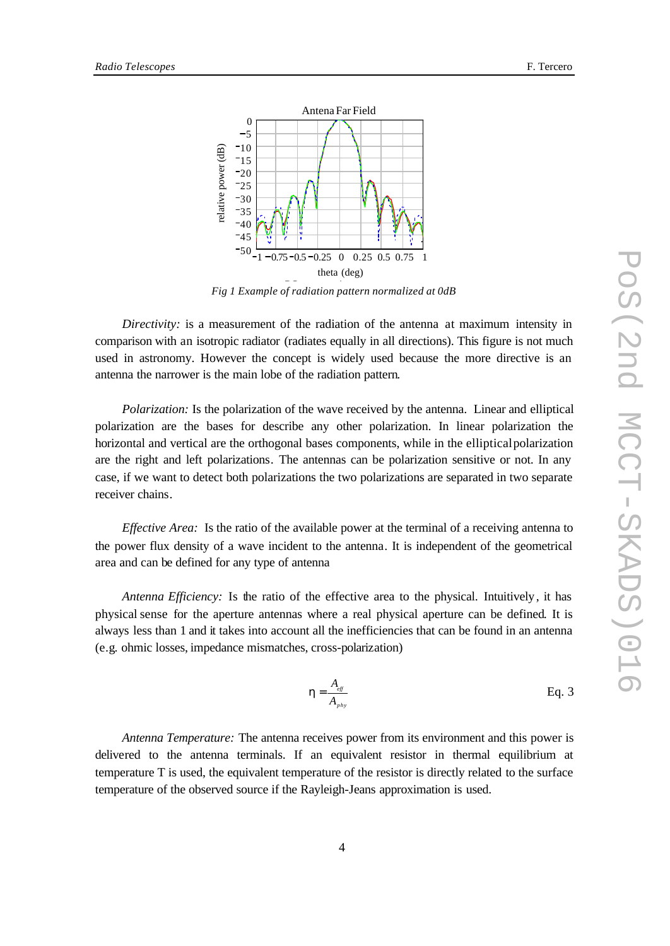

*Fig 1 Example of radiation pattern normalized at 0dB* 

*Directivity*: is a measurement of the radiation of the antenna at maximum intensity in comparison with an isotropic radiator (radiates equally in all directions). This figure is not much used in astronomy. However the concept is widely used because the more directive is an antenna the narrower is the main lobe of the radiation pattern.

*Polarization:* Is the polarization of the wave received by the antenna. Linear and elliptical polarization are the bases for describe any other polarization. In linear polarization the horizontal and vertical are the orthogonal bases components, while in the elliptical polarization are the right and left polarizations. The antennas can be polarization sensitive or not. In any case, if we want to detect both polarizations the two polarizations are separated in two separate receiver chains.

*Effective Area:* Is the ratio of the available power at the terminal of a receiving antenna to the power flux density of a wave incident to the antenna. It is independent of the geometrical area and can be defined for any type of antenna

*Antenna Efficiency:* Is the ratio of the effective area to the physical. Intuitively, it has physical sense for the aperture antennas where a real physical aperture can be defined. It is always less than 1 and it takes into account all the inefficiencies that can be found in an antenna (e.g. ohmic losses, impedance mismatches, cross-polarization)

$$
h = \frac{A_{\text{eff}}}{A_{\text{phys}}}
$$
 Eq. 3

*Antenna Temperature:* The antenna receives power from its environment and this power is delivered to the antenna terminals. If an equivalent resistor in thermal equilibrium at temperature T is used, the equivalent temperature of the resistor is directly related to the surface temperature of the observed source if the Rayleigh-Jeans approximation is used.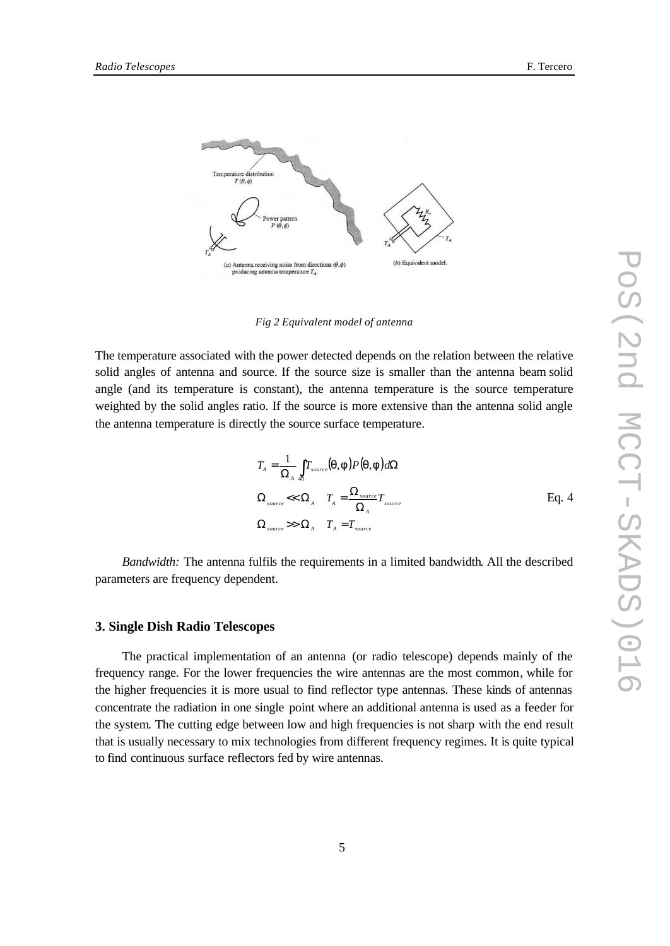

*Fig 2 Equivalent model of antenna*

The temperature associated with the power detected depends on the relation between the relative solid angles of antenna and source. If the source size is smaller than the antenna beam solid angle (and its temperature is constant), the antenna temperature is the source temperature weighted by the solid angles ratio. If the source is more extensive than the antenna solid angle the antenna temperature is directly the source surface temperature.

$$
T_{A} = \frac{1}{\Omega_{A}} \int_{\phi} T_{source}(\mathbf{q}, \mathbf{f}) P(\mathbf{q}, \mathbf{f}) d\Omega
$$
  

$$
\Omega_{source} \ll \Omega_{A} \quad T_{A} = \frac{\Omega_{source}}{\Omega_{A}} T_{source}
$$
  

$$
\Omega_{source} \gg \Omega_{A} \quad T_{A} = T_{source}
$$
  
Eq. 4

*Bandwidth:* The antenna fulfils the requirements in a limited bandwidth. All the described parameters are frequency dependent.

## **3. Single Dish Radio Telescopes**

The practical implementation of an antenna (or radio telescope) depends mainly of the frequency range. For the lower frequencies the wire antennas are the most common, while for the higher frequencies it is more usual to find reflector type antennas. These kinds of antennas concentrate the radiation in one single point where an additional antenna is used as a feeder for the system. The cutting edge between low and high frequencies is not sharp with the end result that is usually necessary to mix technologies from different frequency regimes. It is quite typical to find continuous surface reflectors fed by wire antennas.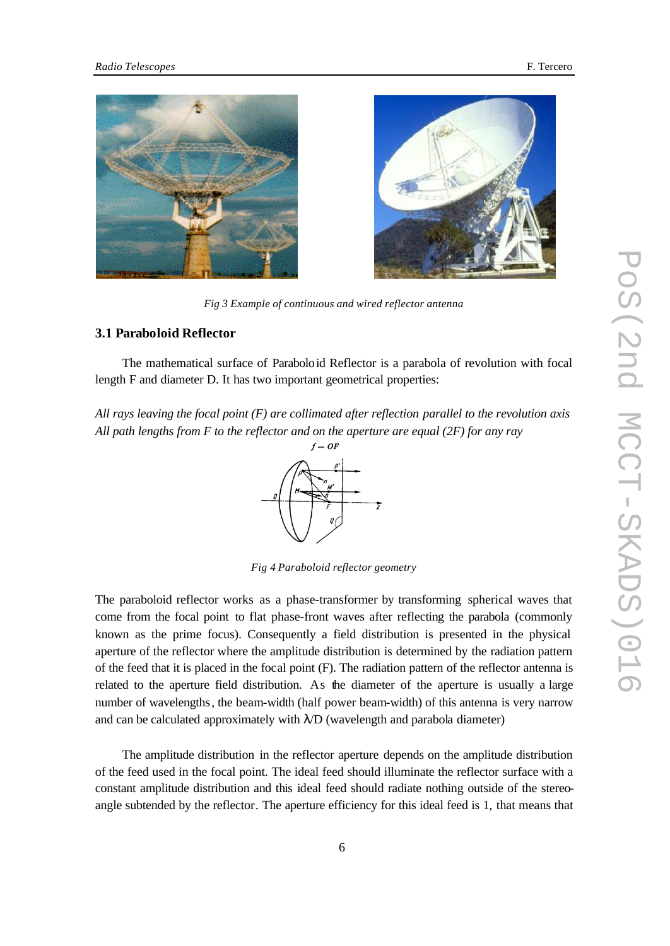



*Fig 3 Example of continuous and wired reflector antenna*

# **3.1 Paraboloid Reflector**

The mathematical surface of Paraboloid Reflector is a parabola of revolution with focal length F and diameter D. It has two important geometrical properties:

*All rays leaving the focal point (F) are collimated after reflection parallel to the revolution axis All path lengths from F to the reflector and on the aperture are equal (2F) for any ray*

 $f=OF$ 

*Fig 4 Paraboloid reflector geometry*

The paraboloid reflector works as a phase-transformer by transforming spherical waves that come from the focal point to flat phase-front waves after reflecting the parabola (commonly known as the prime focus). Consequently a field distribution is presented in the physical aperture of the reflector where the amplitude distribution is determined by the radiation pattern of the feed that it is placed in the focal point (F). The radiation pattern of the reflector antenna is related to the aperture field distribution. As the diameter of the aperture is usually a large number of wavelengths, the beam-width (half power beam-width) of this antenna is very narrow and can be calculated approximately with  $\lambda/D$  (wavelength and parabola diameter)

The amplitude distribution in the reflector aperture depends on the amplitude distribution of the feed used in the focal point. The ideal feed should illuminate the reflector surface with a constant amplitude distribution and this ideal feed should radiate nothing outside of the stereoangle subtended by the reflector. The aperture efficiency for this ideal feed is 1, that means that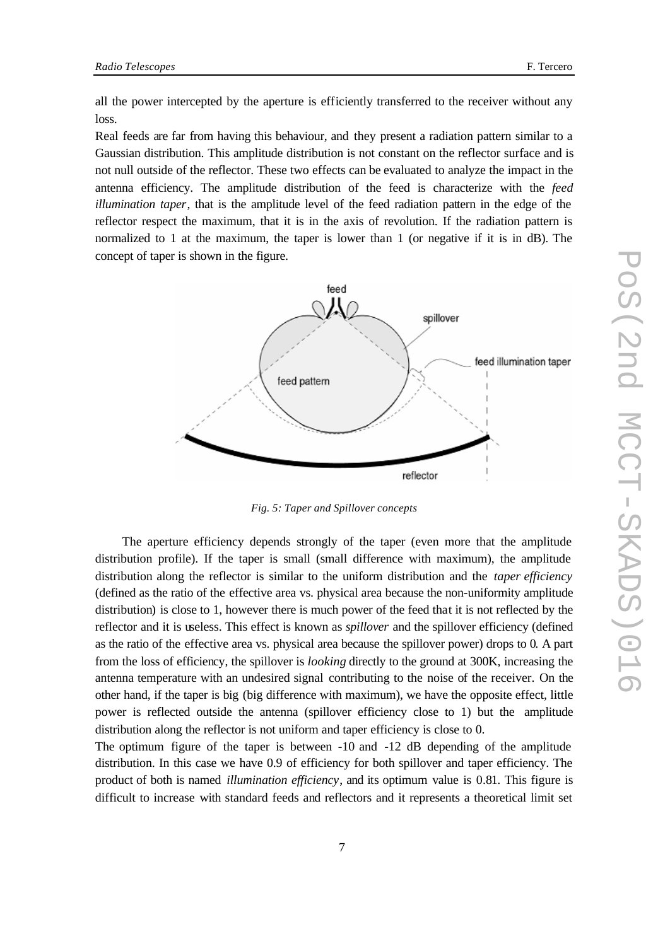all the power intercepted by the aperture is efficiently transferred to the receiver without any loss.

Real feeds are far from having this behaviour, and they present a radiation pattern similar to a Gaussian distribution. This amplitude distribution is not constant on the reflector surface and is not null outside of the reflector. These two effects can be evaluated to analyze the impact in the antenna efficiency. The amplitude distribution of the feed is characterize with the *feed illumination taper*, that is the amplitude level of the feed radiation pattern in the edge of the reflector respect the maximum, that it is in the axis of revolution. If the radiation pattern is normalized to 1 at the maximum, the taper is lower than 1 (or negative if it is in dB). The concept of taper is shown in the figure.



*Fig. 5: Taper and Spillover concepts* 

The aperture efficiency depends strongly of the taper (even more that the amplitude distribution profile). If the taper is small (small difference with maximum), the amplitude distribution along the reflector is similar to the uniform distribution and the *taper efficiency*  (defined as the ratio of the effective area vs. physical area because the non-uniformity amplitude distribution) is close to 1, however there is much power of the feed that it is not reflected by the reflector and it is useless. This effect is known as *spillover* and the spillover efficiency (defined as the ratio of the effective area vs. physical area because the spillover power) drops to 0. A part from the loss of efficiency, the spillover is *looking* directly to the ground at 300K, increasing the antenna temperature with an undesired signal contributing to the noise of the receiver. On the other hand, if the taper is big (big difference with maximum), we have the opposite effect, little power is reflected outside the antenna (spillover efficiency close to 1) but the amplitude distribution along the reflector is not uniform and taper efficiency is close to 0.

The optimum figure of the taper is between -10 and -12 dB depending of the amplitude distribution. In this case we have 0.9 of efficiency for both spillover and taper efficiency. The product of both is named *illumination efficiency*, and its optimum value is 0.81. This figure is difficult to increase with standard feeds and reflectors and it represents a theoretical limit set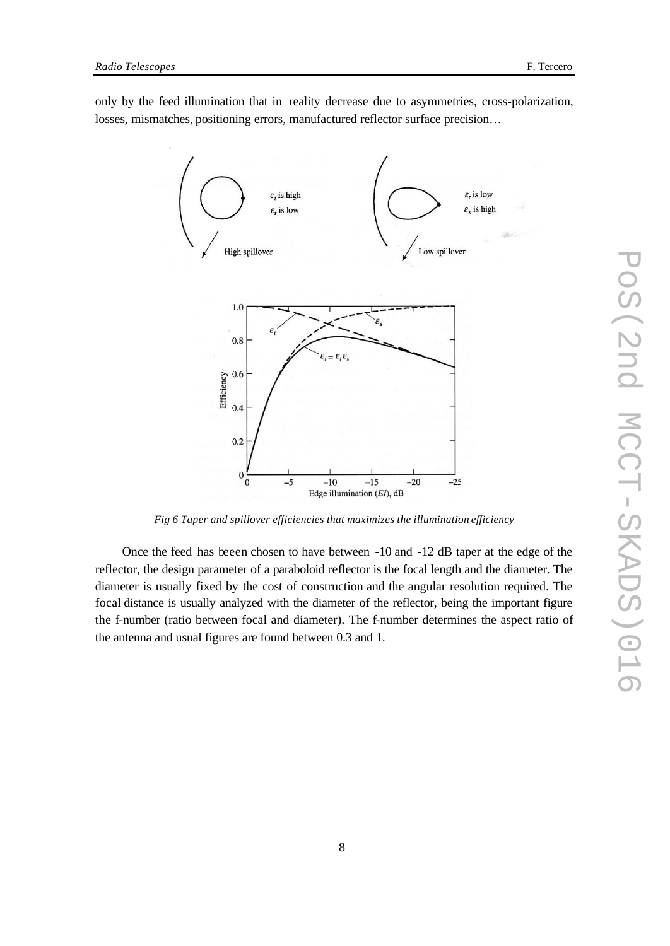only by the feed illumination that in reality decrease due to asymmetries, cross-polarization, losses, mismatches, positioning errors, manufactured reflector surface precision…



*Fig 6 Taper and spillover efficiencies that maximizes the illumination efficiency*

Once the feed has beeen chosen to have between -10 and -12 dB taper at the edge of the reflector, the design parameter of a paraboloid reflector is the focal length and the diameter. The diameter is usually fixed by the cost of construction and the angular resolution required. The focal distance is usually analyzed with the diameter of the reflector, being the important figure the f-number (ratio between focal and diameter). The f-number determines the aspect ratio of the antenna and usual figures are found between 0.3 and 1.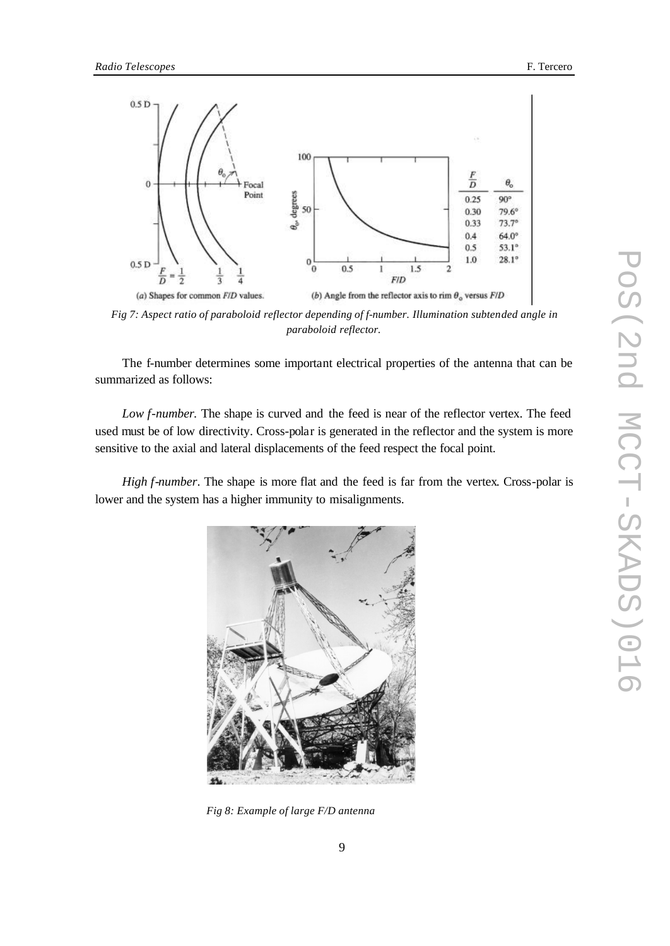

*Fig 7: Aspect ratio of paraboloid reflector depending of f-number. Illumination subtended angle in paraboloid reflector.*

The f-number determines some important electrical properties of the antenna that can be summarized as follows:

*Low f-number.* The shape is curved and the feed is near of the reflector vertex. The feed used must be of low directivity. Cross-polar is generated in the reflector and the system is more sensitive to the axial and lateral displacements of the feed respect the focal point.

*High f-number*. The shape is more flat and the feed is far from the vertex. Cross-polar is lower and the system has a higher immunity to misalignments.



*Fig 8: Example of large F/D antenna*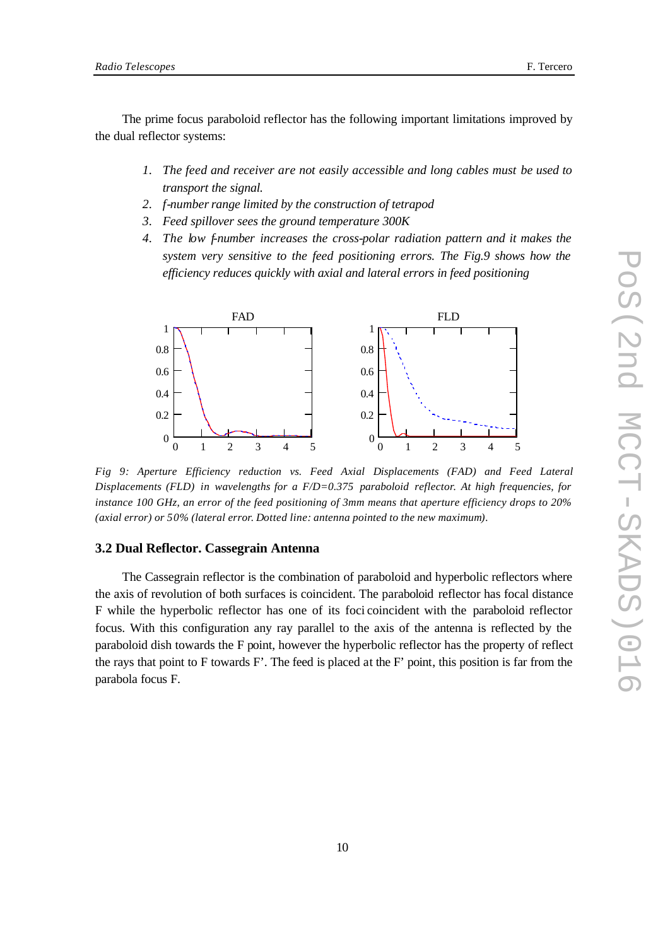The prime focus paraboloid reflector has the following important limitations improved by the dual reflector systems:

- *1. The feed and receiver are not easily accessible and long cables must be used to transport the signal.*
- *2. f-number range limited by the construction of tetrapod*
- *3. Feed spillover sees the ground temperature 300K*
- *4. The low f-number increases the cross-polar radiation pattern and it makes the system very sensitive to the feed positioning errors. The Fig.9 shows how the efficiency reduces quickly with axial and lateral errors in feed positioning*



*Fig 9: Aperture Efficiency reduction vs. Feed Axial Displacements (FAD) and Feed Lateral Displacements (FLD) in wavelengths for a F/D=0.375 paraboloid reflector. At high frequencies, for instance 100 GHz, an error of the feed positioning of 3mm means that aperture efficiency drops to 20% (axial error) or 50% (lateral error. Dotted line: antenna pointed to the new maximum).*

## **3.2 Dual Reflector. Cassegrain Antenna**

The Cassegrain reflector is the combination of paraboloid and hyperbolic reflectors where the axis of revolution of both surfaces is coincident. The paraboloid reflector has focal distance F while the hyperbolic reflector has one of its foci coincident with the paraboloid reflector focus. With this configuration any ray parallel to the axis of the antenna is reflected by the paraboloid dish towards the F point, however the hyperbolic reflector has the property of reflect the rays that point to F towards F'. The feed is placed at the F' point, this position is far from the parabola focus F.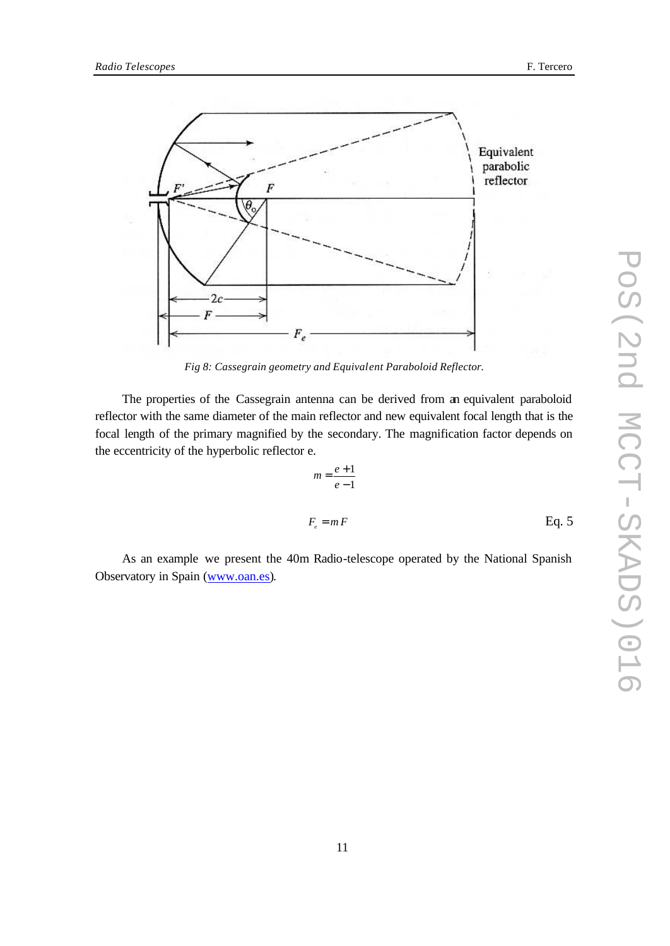

*Fig 8: Cassegrain geometry and Equivalent Paraboloid Reflector.*

The properties of the Cassegrain antenna can be derived from an equivalent paraboloid reflector with the same diameter of the main reflector and new equivalent focal length that is the focal length of the primary magnified by the secondary. The magnification factor depends on the eccentricity of the hyperbolic reflector e.

$$
m = \frac{e+1}{e-1}
$$
  

$$
F_e = m F
$$
 Eq. 5

As an example we present the 40m Radio-telescope operated by the National Spanish Observatory in Spain (www.oan.es).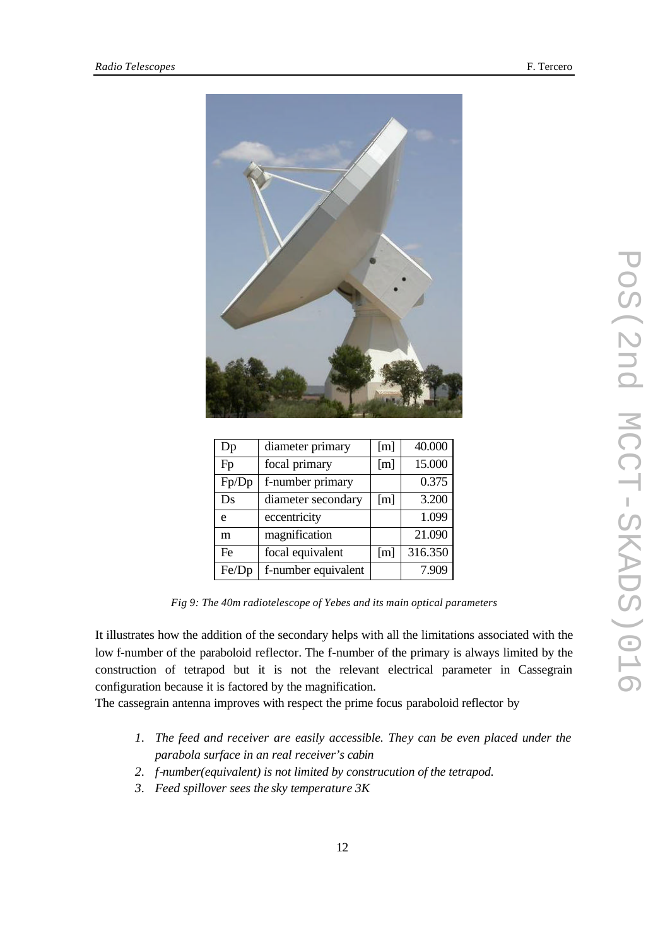

| Dp    | diameter primary    | [m] | 40.000  |
|-------|---------------------|-----|---------|
| Fp    | focal primary       | [m] | 15.000  |
| Fp/Dp | f-number primary    |     | 0.375   |
| Ds    | diameter secondary  | [m] | 3.200   |
| e     | eccentricity        |     | 1.099   |
| m     | magnification       |     | 21.090  |
| Fe    | focal equivalent    | [m] | 316.350 |
| Fe/Dp | f-number equivalent |     | 7.909   |

*Fig 9: The 40m radiotelescope of Yebes and its main optical parameters*

It illustrates how the addition of the secondary helps with all the limitations associated with the low f-number of the paraboloid reflector. The f-number of the primary is always limited by the construction of tetrapod but it is not the relevant electrical parameter in Cassegrain configuration because it is factored by the magnification.

The cassegrain antenna improves with respect the prime focus paraboloid reflector by

- *1.* The feed and receiver are easily accessible. They can be even placed under the *parabola surface in an real receiver's cabin*
- *2. f-number(equivalent) is not limited by construcution of the tetrapod.*
- *3. Feed spillover sees the sky temperature 3K*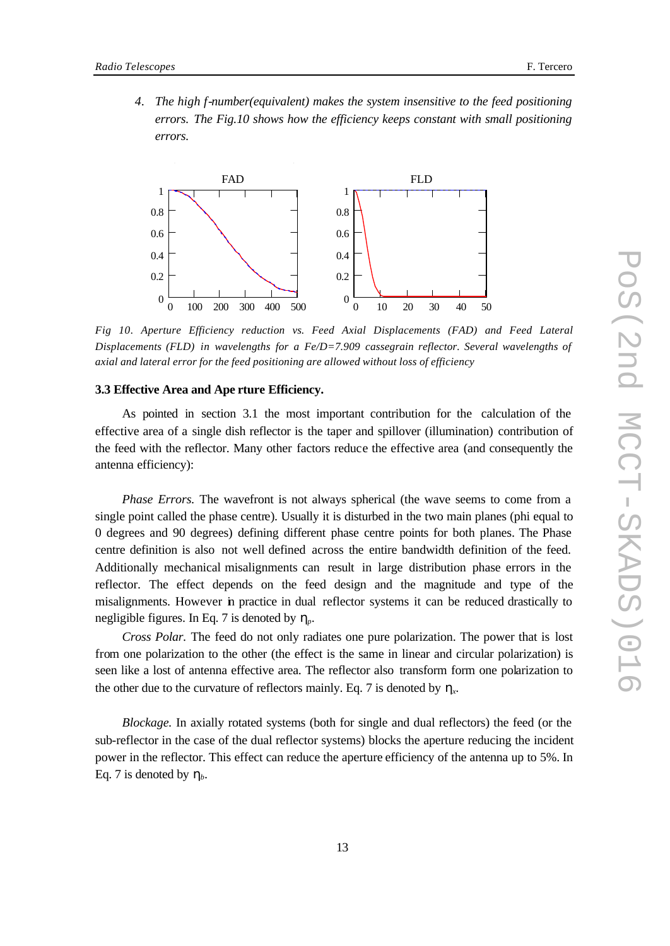*4. The high f-number(equivalent) makes the system insensitive to the feed positioning errors. The Fig.10 shows how the efficiency keeps constant with small positioning errors.*



*Fig 10. Aperture Efficiency reduction vs. Feed Axial Displacements (FAD) and Feed Lateral Displacements (FLD) in wavelengths for a Fe/D=7.909 cassegrain reflector. Several wavelengths of axial and lateral error for the feed positioning are allowed without loss of efficiency*

#### **3.3 Effective Area and Ape rture Efficiency.**

As pointed in section 3.1 the most important contribution for the calculation of the effective area of a single dish reflector is the taper and spillover (illumination) contribution of the feed with the reflector. Many other factors reduce the effective area (and consequently the antenna efficiency):

*Phase Errors.* The wavefront is not always spherical (the wave seems to come from a single point called the phase centre). Usually it is disturbed in the two main planes (phi equal to 0 degrees and 90 degrees) defining different phase centre points for both planes. The Phase centre definition is also not well defined across the entire bandwidth definition of the feed. Additionally mechanical misalignments can result in large distribution phase errors in the reflector. The effect depends on the feed design and the magnitude and type of the misalignments. However in practice in dual reflector systems it can be reduced drastically to negligible figures. In Eq. 7 is denoted by *hp.*

*Cross Polar.* The feed do not only radiates one pure polarization. The power that is lost from one polarization to the other (the effect is the same in linear and circular polarization) is seen like a lost of antenna effective area. The reflector also transform form one polarization to the other due to the curvature of reflectors mainly. Eq. 7 is denoted by *h<sup>x</sup> .*

*Blockage.* In axially rotated systems (both for single and dual reflectors) the feed (or the sub-reflector in the case of the dual reflector systems) blocks the aperture reducing the incident power in the reflector. This effect can reduce the aperture efficiency of the antenna up to 5%. In Eq. 7 is denoted by  $h_b$ .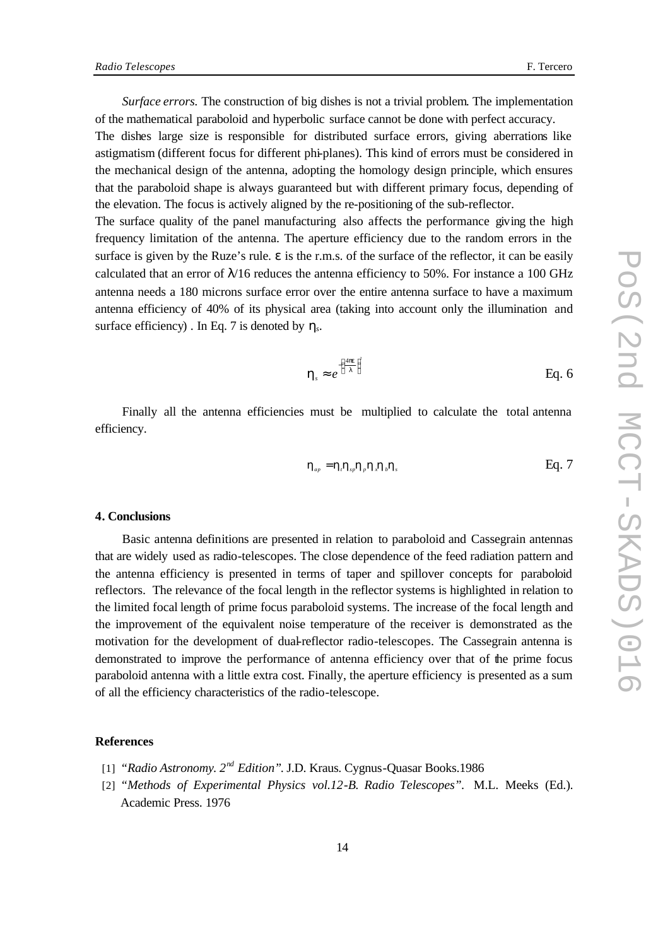The dishes large size is responsible for distributed surface errors, giving aberrations like astigmatism (different focus for different phi-planes). This kind of errors must be considered in the mechanical design of the antenna, adopting the homology design principle, which ensures that the paraboloid shape is always guaranteed but with different primary focus, depending of the elevation. The focus is actively aligned by the re-positioning of the sub-reflector.

The surface quality of the panel manufacturing also affects the performance giving the high frequency limitation of the antenna. The aperture efficiency due to the random errors in the surface is given by the Ruze's rule. ε is the r.m.s. of the surface of the reflector, it can be easily calculated that an error of  $\lambda/16$  reduces the antenna efficiency to 50%. For instance a 100 GHz antenna needs a 180 microns surface error over the entire antenna surface to have a maximum antenna efficiency of 40% of its physical area (taking into account only the illumination and surface efficiency) . In Eq. 7 is denoted by *h<sup>s</sup> .*

$$
\mathbf{h}_s \approx e^{\left(\frac{4\mathbf{p}}{I}\right)^2} \qquad \qquad \text{Eq. 6}
$$

Finally all the antenna efficiencies must be multiplied to calculate the total antenna efficiency.

$$
\mathbf{h}_{_{ap}} = \mathbf{h}_{i} \mathbf{h}_{_{sp}} \mathbf{h}_{j} \mathbf{h}_{k} \mathbf{h}_{s}
$$
 Eq. 7

## **4. Conclusions**

Basic antenna definitions are presented in relation to paraboloid and Cassegrain antennas that are widely used as radio-telescopes. The close dependence of the feed radiation pattern and the antenna efficiency is presented in terms of taper and spillover concepts for paraboloid reflectors. The relevance of the focal length in the reflector systems is highlighted in relation to the limited focal length of prime focus paraboloid systems. The increase of the focal length and the improvement of the equivalent noise temperature of the receiver is demonstrated as the motivation for the development of dual-reflector radio-telescopes. The Cassegrain antenna is demonstrated to improve the performance of antenna efficiency over that of the prime focus paraboloid antenna with a little extra cost. Finally, the aperture efficiency is presented as a sum of all the efficiency characteristics of the radio-telescope.

#### **References**

- [1] *"Radio Astronomy. 2nd Edition"*. J.D. Kraus. Cygnus-Quasar Books.1986
- [2] *"Methods of Experimental Physics vol.12-B. Radio Telescopes".* M.L. Meeks (Ed.). Academic Press. 1976